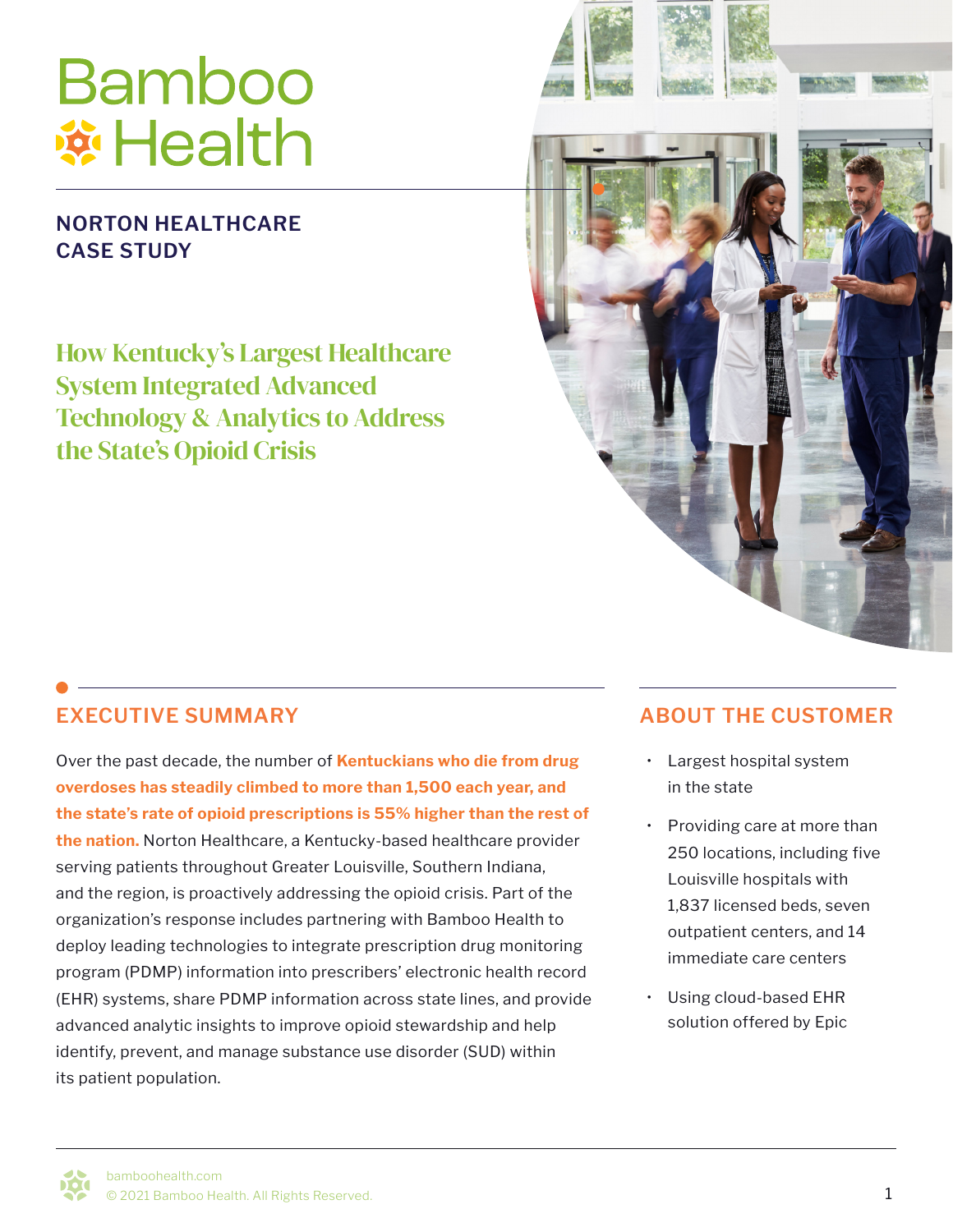# **Bamboo Wi Health**

#### **NORTON HEALTHCARE CASE STUDY**

How Kentucky's Largest Healthcare System Integrated Advanced Technology & Analytics to Address the State's Opioid Crisis



Over the past decade, the number of **Kentuckians who die from drug overdoses has steadily climbed to more than 1,500 each year, and the state's rate of opioid prescriptions is 55% higher than the rest of the nation.** Norton Healthcare, a Kentucky-based healthcare provider serving patients throughout Greater Louisville, Southern Indiana, and the region, is proactively addressing the opioid crisis. Part of the organization's response includes partnering with Bamboo Health to deploy leading technologies to integrate prescription drug monitoring program (PDMP) information into prescribers' electronic health record (EHR) systems, share PDMP information across state lines, and provide advanced analytic insights to improve opioid stewardship and help identify, prevent, and manage substance use disorder (SUD) within its patient population.

#### **EXECUTIVE SUMMARY ABOUT THE CUSTOMER**

- Largest hospital system in the state
- Providing care at more than 250 locations, including five Louisville hospitals with 1,837 licensed beds, seven outpatient centers, and 14 immediate care centers
- Using cloud-based EHR solution offered by Epic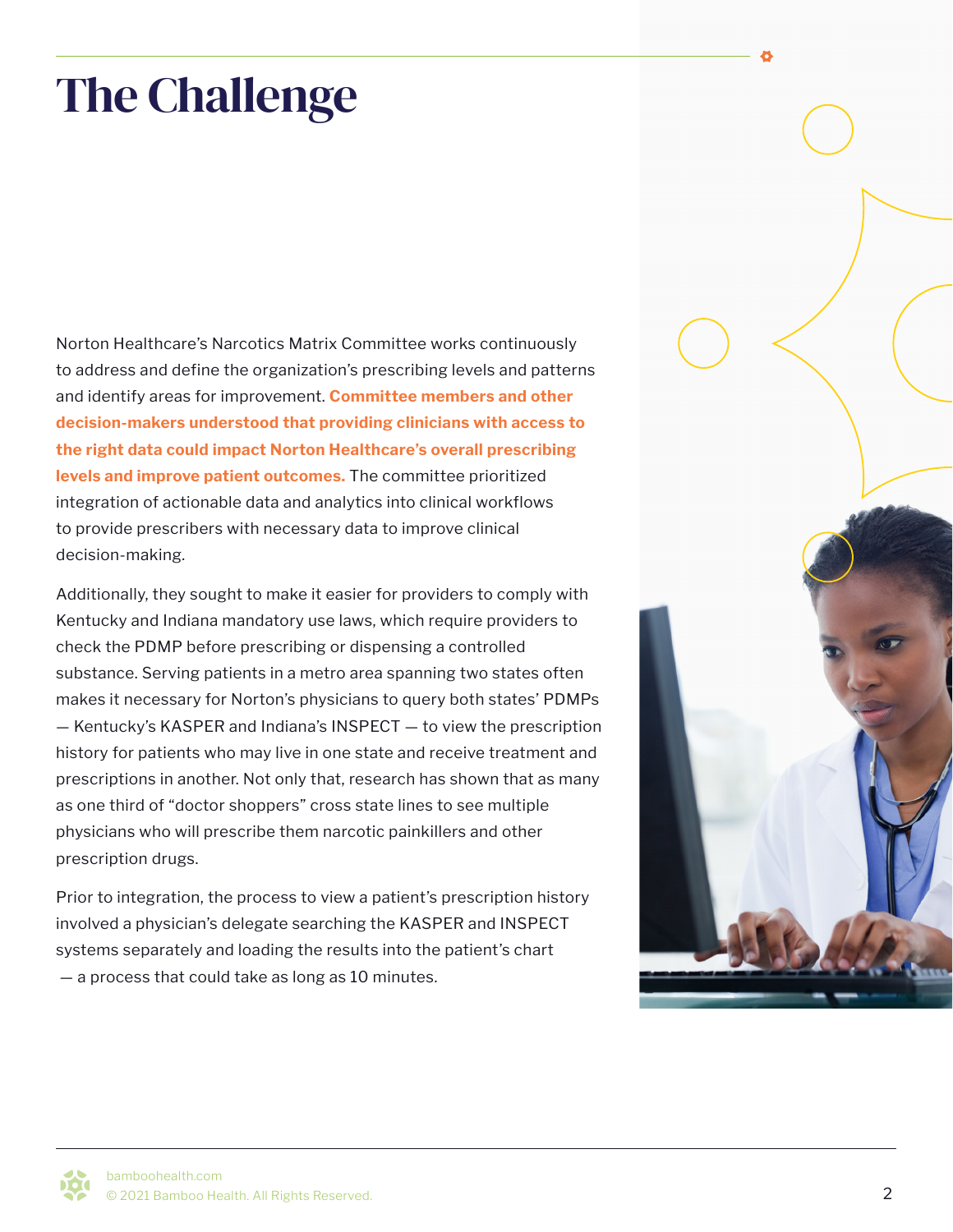## The Challenge

Norton Healthcare's Narcotics Matrix Committee works continuously to address and define the organization's prescribing levels and patterns and identify areas for improvement. **Committee members and other decision-makers understood that providing clinicians with access to the right data could impact Norton Healthcare's overall prescribing levels and improve patient outcomes.** The committee prioritized integration of actionable data and analytics into clinical workflows to provide prescribers with necessary data to improve clinical decision-making.

Additionally, they sought to make it easier for providers to comply with Kentucky and Indiana mandatory use laws, which require providers to check the PDMP before prescribing or dispensing a controlled substance. Serving patients in a metro area spanning two states often makes it necessary for Norton's physicians to query both states' PDMPs — Kentucky's KASPER and Indiana's INSPECT — to view the prescription history for patients who may live in one state and receive treatment and prescriptions in another. Not only that, research has shown that as many as one third of "doctor shoppers" cross state lines to see multiple physicians who will prescribe them narcotic painkillers and other prescription drugs.

Prior to integration, the process to view a patient's prescription history involved a physician's delegate searching the KASPER and INSPECT systems separately and loading the results into the patient's chart — a process that could take as long as 10 minutes.

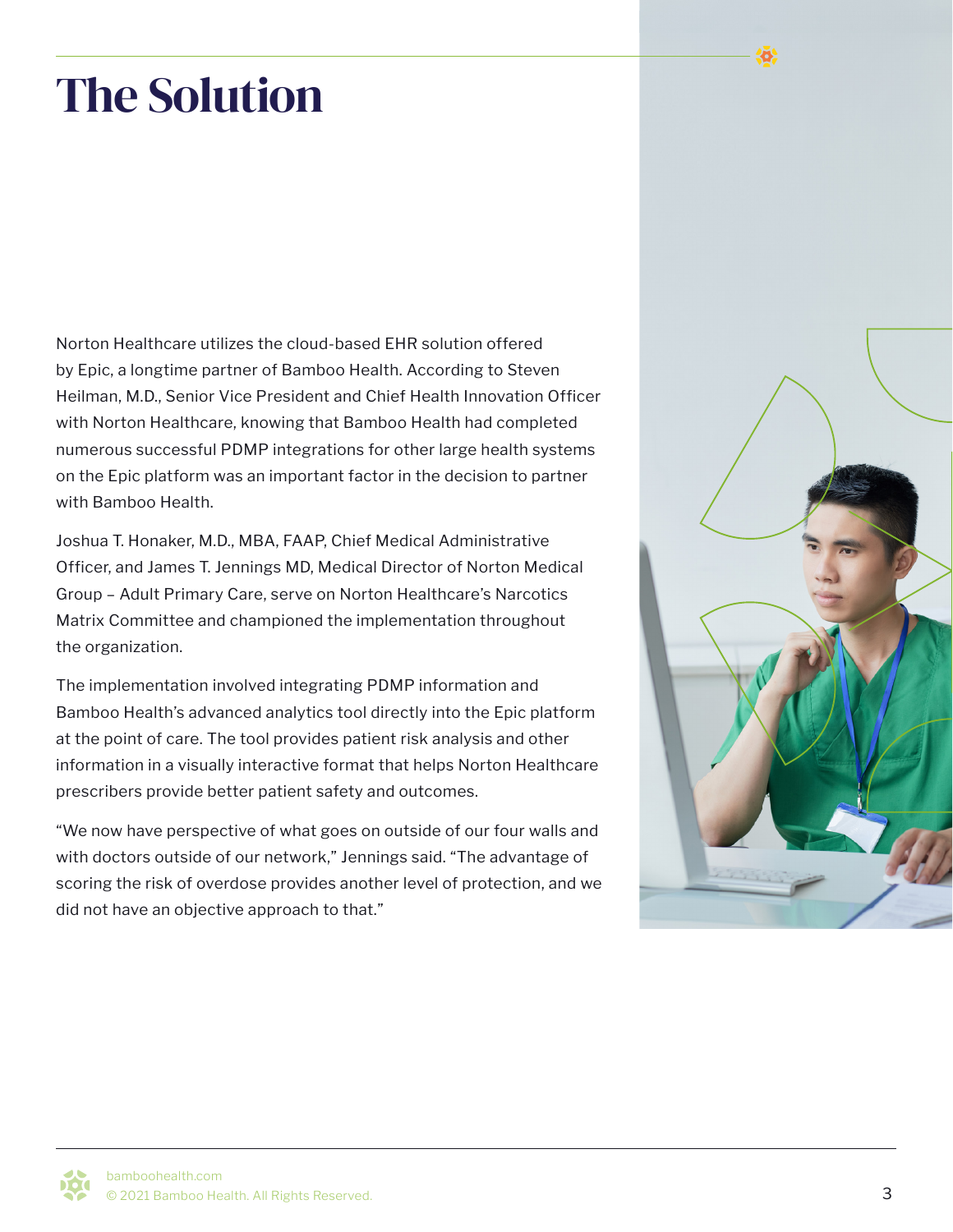## The Solution

Norton Healthcare utilizes the cloud-based EHR solution offered by Epic, a longtime partner of Bamboo Health. According to Steven Heilman, M.D., Senior Vice President and Chief Health Innovation Officer with Norton Healthcare, knowing that Bamboo Health had completed numerous successful PDMP integrations for other large health systems on the Epic platform was an important factor in the decision to partner with Bamboo Health.

Joshua T. Honaker, M.D., MBA, FAAP, Chief Medical Administrative Officer, and James T. Jennings MD, Medical Director of Norton Medical Group – Adult Primary Care, serve on Norton Healthcare's Narcotics Matrix Committee and championed the implementation throughout the organization.

The implementation involved integrating PDMP information and Bamboo Health's advanced analytics tool directly into the Epic platform at the point of care. The tool provides patient risk analysis and other information in a visually interactive format that helps Norton Healthcare prescribers provide better patient safety and outcomes.

"We now have perspective of what goes on outside of our four walls and with doctors outside of our network," Jennings said. "The advantage of scoring the risk of overdose provides another level of protection, and we did not have an objective approach to that."

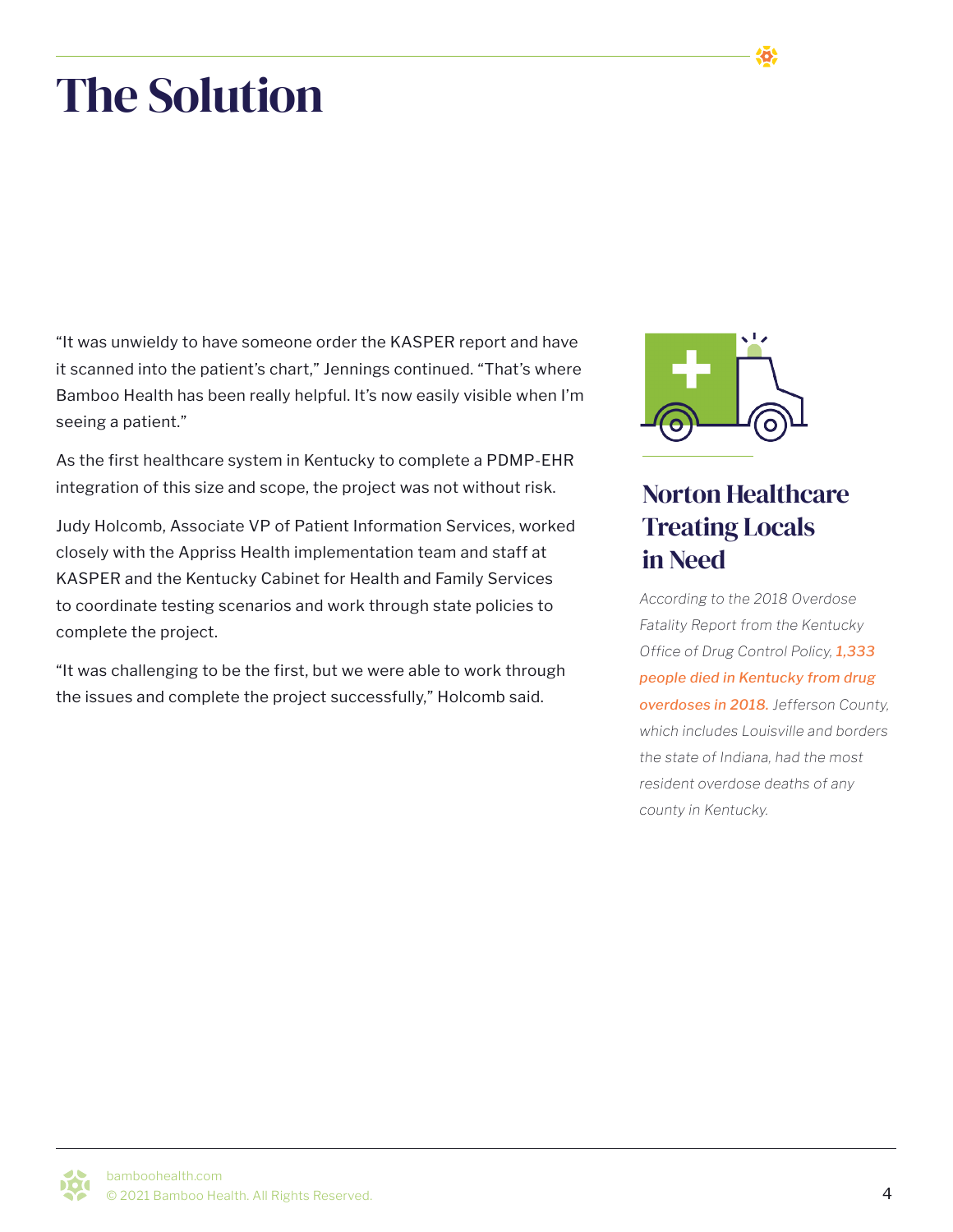## The Solution

"It was unwieldy to have someone order the KASPER report and have it scanned into the patient's chart," Jennings continued. "That's where Bamboo Health has been really helpful. It's now easily visible when I'm seeing a patient."

As the first healthcare system in Kentucky to complete a PDMP-EHR integration of this size and scope, the project was not without risk.

Judy Holcomb, Associate VP of Patient Information Services, worked closely with the Appriss Health implementation team and staff at KASPER and the Kentucky Cabinet for Health and Family Services to coordinate testing scenarios and work through state policies to complete the project.

"It was challenging to be the first, but we were able to work through the issues and complete the project successfully," Holcomb said.



#### Norton Healthcare Treating Locals in Need

*According to the 2018 Overdose Fatality Report from the Kentucky Office of Drug Control Policy, 1,333 people died in Kentucky from drug overdoses in 2018. Jefferson County, which includes Louisville and borders the state of Indiana, had the most resident overdose deaths of any county in Kentucky.*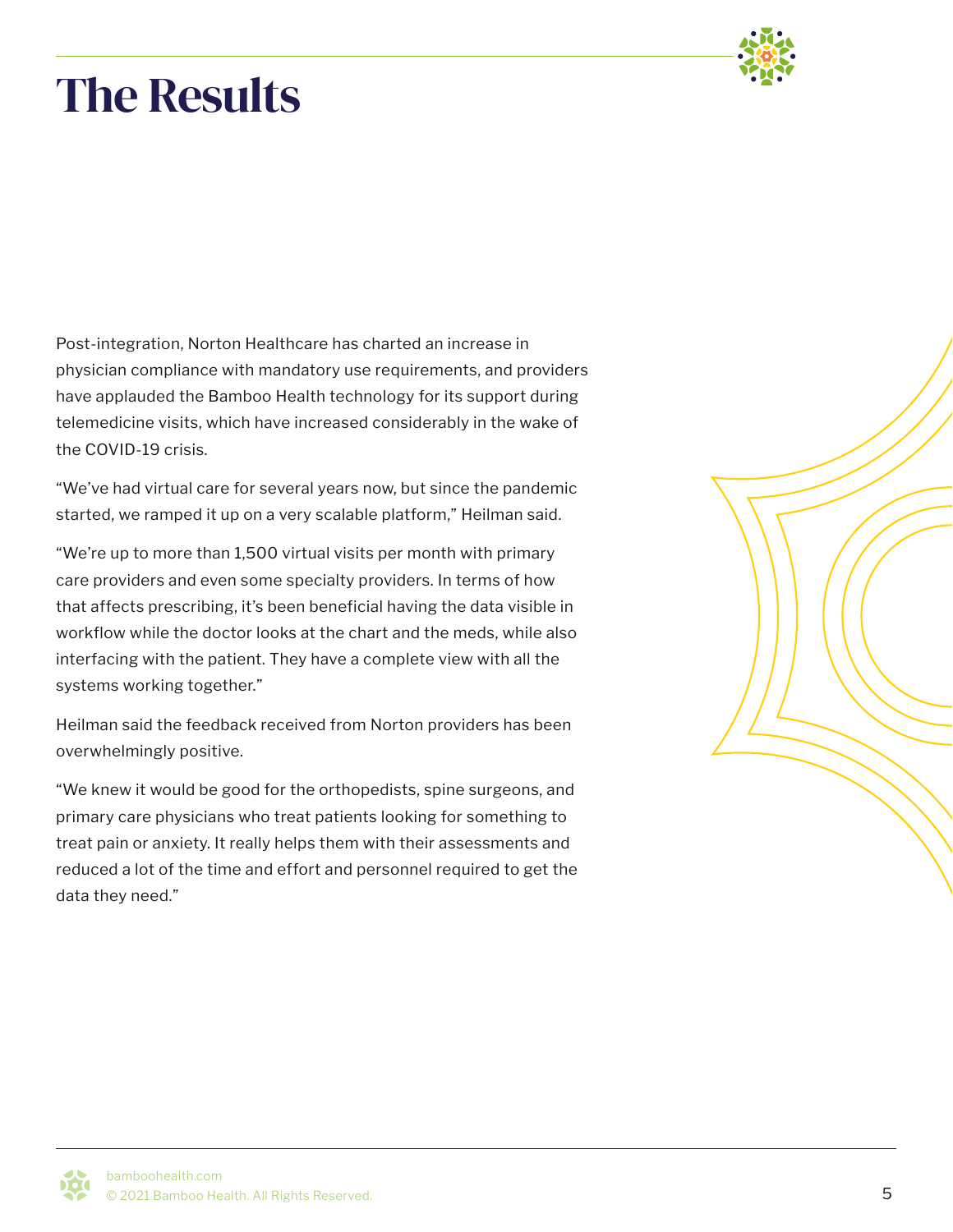## The Results



Post-integration, Norton Healthcare has charted an increase in physician compliance with mandatory use requirements, and providers have applauded the Bamboo Health technology for its support during telemedicine visits, which have increased considerably in the wake of the COVID-19 crisis.

"We've had virtual care for several years now, but since the pandemic started, we ramped it up on a very scalable platform," Heilman said.

"We're up to more than 1,500 virtual visits per month with primary care providers and even some specialty providers. In terms of how that affects prescribing, it's been beneficial having the data visible in workflow while the doctor looks at the chart and the meds, while also interfacing with the patient. They have a complete view with all the systems working together."

Heilman said the feedback received from Norton providers has been overwhelmingly positive.

"We knew it would be good for the orthopedists, spine surgeons, and primary care physicians who treat patients looking for something to treat pain or anxiety. It really helps them with their assessments and reduced a lot of the time and effort and personnel required to get the data they need."